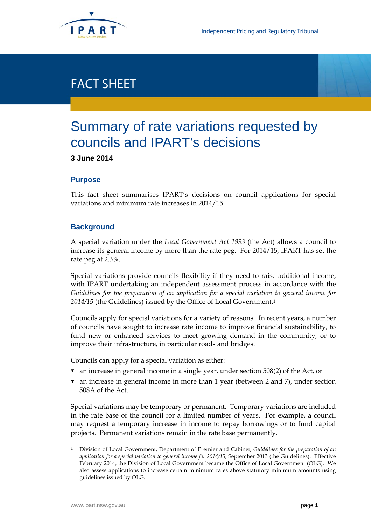

# FACT SHEET

# Summary of rate variations requested by councils and IPART's decisions

**3 June 2014** 

### **Purpose**

This fact sheet summarises IPART's decisions on council applications for special variations and minimum rate increases in 2014/15.

# **Background**

A special variation under the *Local Government Act 1993* (the Act) allows a council to increase its general income by more than the rate peg. For 2014/15, IPART has set the rate peg at 2.3%.

Special variations provide councils flexibility if they need to raise additional income, with IPART undertaking an independent assessment process in accordance with the *Guidelines for the preparation of an application for a special variation to general income for 2014/15* (the Guidelines) issued by the Office of Local Government.1

Councils apply for special variations for a variety of reasons. In recent years, a number of councils have sought to increase rate income to improve financial sustainability, to fund new or enhanced services to meet growing demand in the community, or to improve their infrastructure, in particular roads and bridges.

Councils can apply for a special variation as either:

- an increase in general income in a single year, under section 508(2) of the Act, or
- an increase in general income in more than 1 year (between 2 and 7), under section 508A of the Act.

Special variations may be temporary or permanent. Temporary variations are included in the rate base of the council for a limited number of years. For example, a council may request a temporary increase in income to repay borrowings or to fund capital projects. Permanent variations remain in the rate base permanently.

 $\overline{a}$ 

<sup>1</sup> Division of Local Government, Department of Premier and Cabinet, *Guidelines for the preparation of an application for a special variation to general income for 2014/15, September 2013 (the Guidelines). Effective* February 2014, the Division of Local Government became the Office of Local Government (OLG). We also assess applications to increase certain minimum rates above statutory minimum amounts using guidelines issued by OLG.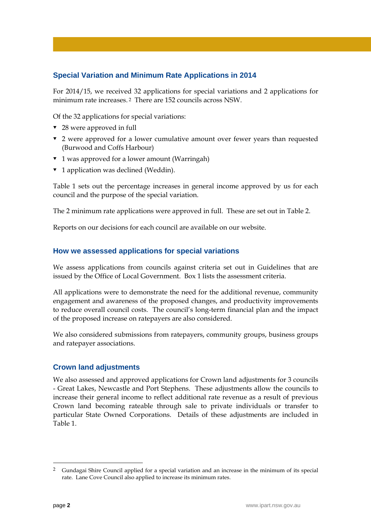# **Special Variation and Minimum Rate Applications in 2014**

For 2014/15, we received 32 applications for special variations and 2 applications for minimum rate increases. 2 There are 152 councils across NSW.

Of the 32 applications for special variations:

- ▼ 28 were approved in full
- 2 were approved for a lower cumulative amount over fewer years than requested (Burwood and Coffs Harbour)
- ▼ 1 was approved for a lower amount (Warringah)
- ▼ 1 application was declined (Weddin).

Table 1 sets out the percentage increases in general income approved by us for each council and the purpose of the special variation.

The 2 minimum rate applications were approved in full. These are set out in Table 2.

Reports on our decisions for each council are available on our website.

### **How we assessed applications for special variations**

We assess applications from councils against criteria set out in Guidelines that are issued by the Office of Local Government. Box 1 lists the assessment criteria.

All applications were to demonstrate the need for the additional revenue, community engagement and awareness of the proposed changes, and productivity improvements to reduce overall council costs. The council's long-term financial plan and the impact of the proposed increase on ratepayers are also considered.

We also considered submissions from ratepayers, community groups, business groups and ratepayer associations.

### **Crown land adjustments**

We also assessed and approved applications for Crown land adjustments for 3 councils - Great Lakes, Newcastle and Port Stephens. These adjustments allow the councils to increase their general income to reflect additional rate revenue as a result of previous Crown land becoming rateable through sale to private individuals or transfer to particular State Owned Corporations. Details of these adjustments are included in Table 1.

 $\overline{a}$ 

<sup>2</sup> Gundagai Shire Council applied for a special variation and an increase in the minimum of its special rate. Lane Cove Council also applied to increase its minimum rates.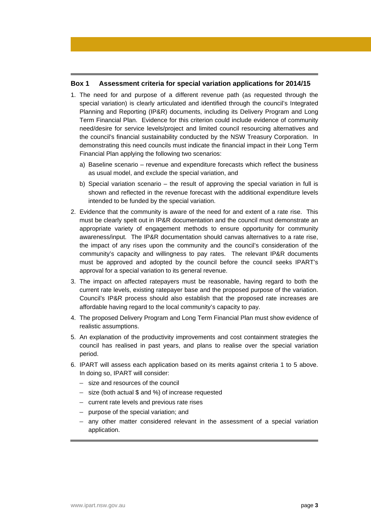#### **Box 1 Assessment criteria for special variation applications for 2014/15**

- 1. The need for and purpose of a different revenue path (as requested through the special variation) is clearly articulated and identified through the council's Integrated Planning and Reporting (IP&R) documents, including its Delivery Program and Long Term Financial Plan. Evidence for this criterion could include evidence of community need/desire for service levels/project and limited council resourcing alternatives and the council's financial sustainability conducted by the NSW Treasury Corporation. In demonstrating this need councils must indicate the financial impact in their Long Term Financial Plan applying the following two scenarios:
	- a) Baseline scenario revenue and expenditure forecasts which reflect the business as usual model, and exclude the special variation, and
	- b) Special variation scenario the result of approving the special variation in full is shown and reflected in the revenue forecast with the additional expenditure levels intended to be funded by the special variation.
- 2. Evidence that the community is aware of the need for and extent of a rate rise. This must be clearly spelt out in IP&R documentation and the council must demonstrate an appropriate variety of engagement methods to ensure opportunity for community awareness/input. The IP&R documentation should canvas alternatives to a rate rise, the impact of any rises upon the community and the council's consideration of the community's capacity and willingness to pay rates. The relevant IP&R documents must be approved and adopted by the council before the council seeks IPART's approval for a special variation to its general revenue.
- 3. The impact on affected ratepayers must be reasonable, having regard to both the current rate levels, existing ratepayer base and the proposed purpose of the variation. Council's IP&R process should also establish that the proposed rate increases are affordable having regard to the local community's capacity to pay.
- 4. The proposed Delivery Program and Long Term Financial Plan must show evidence of realistic assumptions.
- 5. An explanation of the productivity improvements and cost containment strategies the council has realised in past years, and plans to realise over the special variation period.
- 6. IPART will assess each application based on its merits against criteria 1 to 5 above. In doing so, IPART will consider:
	- size and resources of the council
	- size (both actual \$ and %) of increase requested
	- current rate levels and previous rate rises
	- purpose of the special variation; and
	- any other matter considered relevant in the assessment of a special variation application.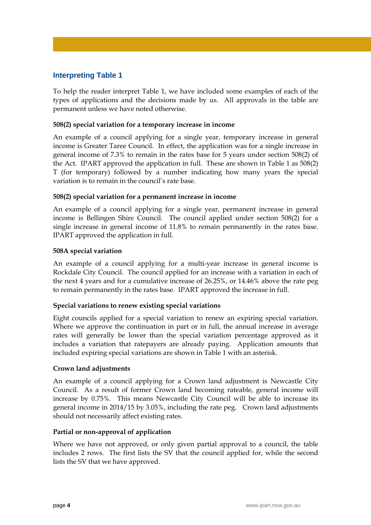# **Interpreting Table 1**

To help the reader interpret Table 1, we have included some examples of each of the types of applications and the decisions made by us. All approvals in the table are permanent unless we have noted otherwise.

#### **508(2) special variation for a temporary increase in income**

An example of a council applying for a single year, temporary increase in general income is Greater Taree Council. In effect, the application was for a single increase in general income of 7.3% to remain in the rates base for 5 years under section 508(2) of the Act. IPART approved the application in full. These are shown in Table 1 as 508(2) T (for temporary) followed by a number indicating how many years the special variation is to remain in the council's rate base.

### **508(2) special variation for a permanent increase in income**

An example of a council applying for a single year, permanent increase in general income is Bellingen Shire Council. The council applied under section 508(2) for a single increase in general income of 11.8% to remain permanently in the rates base. IPART approved the application in full.

#### **508A special variation**

An example of a council applying for a multi-year increase in general income is Rockdale City Council. The council applied for an increase with a variation in each of the next 4 years and for a cumulative increase of 26.25%, or 14.46% above the rate peg to remain permanently in the rates base. IPART approved the increase in full.

### **Special variations to renew existing special variations**

Eight councils applied for a special variation to renew an expiring special variation. Where we approve the continuation in part or in full, the annual increase in average rates will generally be lower than the special variation percentage approved as it includes a variation that ratepayers are already paying. Application amounts that included expiring special variations are shown in Table 1 with an asterisk.

### **Crown land adjustments**

An example of a council applying for a Crown land adjustment is Newcastle City Council. As a result of former Crown land becoming rateable, general income will increase by 0.75%. This means Newcastle City Council will be able to increase its general income in 2014/15 by 3.05%, including the rate peg. Crown land adjustments should not necessarily affect existing rates.

#### **Partial or non-approval of application**

Where we have not approved, or only given partial approval to a council, the table includes 2 rows. The first lists the SV that the council applied for, while the second lists the SV that we have approved.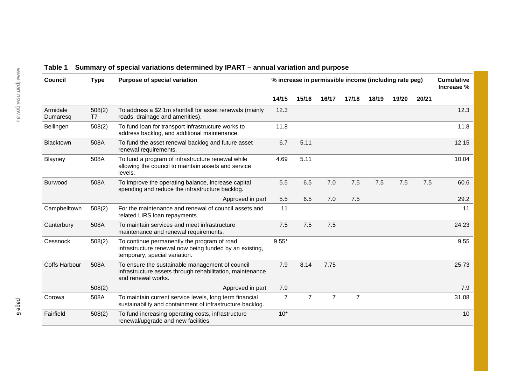| <b>Council</b>       | <b>Type</b>              | Purpose of special variation                                                                                                            | % increase in permissible income (including rate peg) |                |                |                |       |       | <b>Cumulative</b><br>Increase % |       |
|----------------------|--------------------------|-----------------------------------------------------------------------------------------------------------------------------------------|-------------------------------------------------------|----------------|----------------|----------------|-------|-------|---------------------------------|-------|
|                      |                          |                                                                                                                                         | 14/15                                                 | 15/16          | 16/17          | 17/18          | 18/19 | 19/20 | 20/21                           |       |
| Armidale<br>Dumaresq | 508(2)<br>T <sub>7</sub> | To address a \$2.1m shortfall for asset renewals (mainly<br>roads, drainage and amenities).                                             | 12.3                                                  |                |                |                |       |       |                                 | 12.3  |
| Bellingen            | 508(2)                   | To fund loan for transport infrastructure works to<br>address backlog, and additional maintenance.                                      | 11.8                                                  |                |                |                |       |       |                                 | 11.8  |
| Blacktown            | 508A                     | To fund the asset renewal backlog and future asset<br>renewal requirements.                                                             | 6.7                                                   | 5.11           |                |                |       |       |                                 | 12.15 |
| Blayney              | 508A                     | To fund a program of infrastructure renewal while<br>allowing the council to maintain assets and service<br>levels.                     | 4.69                                                  | 5.11           |                |                |       |       |                                 | 10.04 |
| <b>Burwood</b>       | 508A                     | To improve the operating balance, increase capital<br>spending and reduce the infrastructure backlog.                                   | 5.5                                                   | 6.5            | 7.0            | 7.5            | 7.5   | 7.5   | 7.5                             | 60.6  |
|                      |                          | Approved in part                                                                                                                        | 5.5                                                   | 6.5            | 7.0            | 7.5            |       |       |                                 | 29.2  |
| Campbelltown         | 508(2)                   | For the maintenance and renewal of council assets and<br>related LIRS loan repayments.                                                  | 11                                                    |                |                |                |       |       |                                 | 11    |
| Canterbury           | 508A                     | To maintain services and meet infrastructure<br>maintenance and renewal requirements.                                                   | 7.5                                                   | 7.5            | 7.5            |                |       |       |                                 | 24.23 |
| Cessnock             | 508(2)                   | To continue permanently the program of road<br>infrastructure renewal now being funded by an existing,<br>temporary, special variation. | $9.55*$                                               |                |                |                |       |       |                                 | 9.55  |
| <b>Coffs Harbour</b> | 508A                     | To ensure the sustainable management of council<br>infrastructure assets through rehabilitation, maintenance<br>and renewal works.      | 7.9                                                   | 8.14           | 7.75           |                |       |       |                                 | 25.73 |
|                      | 508(2)                   | Approved in part                                                                                                                        | 7.9                                                   |                |                |                |       |       |                                 | 7.9   |
| Corowa               | 508A                     | To maintain current service levels, long term financial<br>sustainability and containment of infrastructure backlog.                    | $\overline{7}$                                        | $\overline{7}$ | $\overline{7}$ | $\overline{7}$ |       |       |                                 | 31.08 |
| Fairfield            | 508(2)                   | To fund increasing operating costs, infrastructure<br>renewal/upgrade and new facilities.                                               | $10*$                                                 |                |                |                |       |       |                                 | 10    |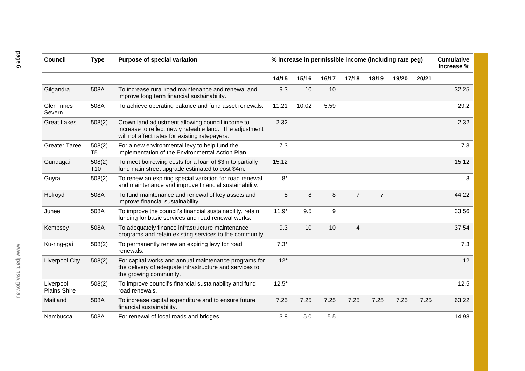| <b>Council</b>                   | <b>Type</b>               | <b>Purpose of special variation</b>                                                                                                                           | % increase in permissible income (including rate peg) |       |       |                |                | <b>Cumulative</b><br>Increase % |       |       |
|----------------------------------|---------------------------|---------------------------------------------------------------------------------------------------------------------------------------------------------------|-------------------------------------------------------|-------|-------|----------------|----------------|---------------------------------|-------|-------|
|                                  |                           |                                                                                                                                                               | 14/15                                                 | 15/16 | 16/17 | 17/18          | 18/19          | 19/20                           | 20/21 |       |
| Gilgandra                        | 508A                      | To increase rural road maintenance and renewal and<br>improve long term financial sustainability.                                                             | 9.3                                                   | 10    | 10    |                |                |                                 |       | 32.25 |
| Glen Innes<br>Severn             | 508A                      | To achieve operating balance and fund asset renewals.                                                                                                         | 11.21                                                 | 10.02 | 5.59  |                |                |                                 |       | 29.2  |
| <b>Great Lakes</b>               | 508(2)                    | Crown land adjustment allowing council income to<br>increase to reflect newly rateable land. The adjustment<br>will not affect rates for existing ratepayers. | 2.32                                                  |       |       |                |                |                                 |       | 2.32  |
| <b>Greater Taree</b>             | 508(2)<br>T <sub>5</sub>  | For a new environmental levy to help fund the<br>implementation of the Environmental Action Plan.                                                             | 7.3                                                   |       |       |                |                |                                 |       | 7.3   |
| Gundagai                         | 508(2)<br>T <sub>10</sub> | To meet borrowing costs for a loan of \$3m to partially<br>fund main street upgrade estimated to cost \$4m.                                                   | 15.12                                                 |       |       |                |                |                                 |       | 15.12 |
| Guyra                            | 508(2)                    | To renew an expiring special variation for road renewal<br>and maintenance and improve financial sustainability.                                              | $8*$                                                  |       |       |                |                |                                 |       |       |
| Holroyd                          | 508A                      | To fund maintenance and renewal of key assets and<br>improve financial sustainability.                                                                        | 8                                                     | 8     | 8     | $\overline{7}$ | $\overline{7}$ |                                 |       | 44.22 |
| Junee                            | 508A                      | To improve the council's financial sustainability, retain<br>funding for basic services and road renewal works.                                               | $11.9*$                                               | 9.5   | 9     |                |                |                                 |       | 33.56 |
| Kempsey                          | 508A                      | To adequately finance infrastructure maintenance<br>programs and retain existing services to the community.                                                   | 9.3                                                   | 10    | 10    | $\overline{4}$ |                |                                 |       | 37.54 |
| Ku-ring-gai                      | 508(2)                    | To permanently renew an expiring levy for road<br>renewals.                                                                                                   | $7.3*$                                                |       |       |                |                |                                 |       | 7.3   |
| <b>Liverpool City</b>            | 508(2)                    | For capital works and annual maintenance programs for<br>the delivery of adequate infrastructure and services to<br>the growing community.                    | $12*$                                                 |       |       |                |                |                                 |       | 12    |
| Liverpool<br><b>Plains Shire</b> | 508(2)                    | To improve council's financial sustainability and fund<br>road renewals.                                                                                      | $12.5*$                                               |       |       |                |                |                                 |       | 12.5  |
| Maitland                         | 508A                      | To increase capital expenditure and to ensure future<br>financial sustainability.                                                                             | 7.25                                                  | 7.25  | 7.25  | 7.25           | 7.25           | 7.25                            | 7.25  | 63.22 |
| Nambucca                         | 508A                      | For renewal of local roads and bridges.                                                                                                                       | 3.8                                                   | 5.0   | 5.5   |                |                |                                 |       | 14.98 |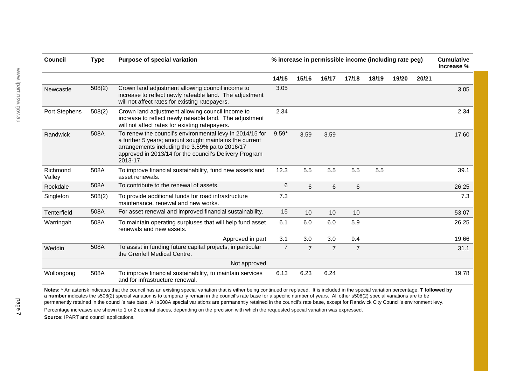| <b>Council</b>     | <b>Type</b> | Purpose of special variation                                                                                                                                                                                                               |                | % increase in permissible income (including rate peg) |                |                |       |       |       | <b>Cumulative</b><br>Increase % |
|--------------------|-------------|--------------------------------------------------------------------------------------------------------------------------------------------------------------------------------------------------------------------------------------------|----------------|-------------------------------------------------------|----------------|----------------|-------|-------|-------|---------------------------------|
|                    |             |                                                                                                                                                                                                                                            | 14/15          | 15/16                                                 | 16/17          | 17/18          | 18/19 | 19/20 | 20/21 |                                 |
| Newcastle          | 508(2)      | Crown land adjustment allowing council income to<br>increase to reflect newly rateable land. The adjustment<br>will not affect rates for existing ratepayers.                                                                              | 3.05           |                                                       |                |                |       |       |       | 3.05                            |
| Port Stephens      | 508(2)      | Crown land adjustment allowing council income to<br>increase to reflect newly rateable land. The adjustment<br>will not affect rates for existing ratepayers.                                                                              | 2.34           |                                                       |                |                |       |       |       | 2.34                            |
| Randwick           | 508A        | To renew the council's environmental levy in 2014/15 for<br>a further 5 years; amount sought maintains the current<br>arrangements including the 3.59% pa to 2016/17<br>approved in 2013/14 for the council's Delivery Program<br>2013-17. | $9.59*$        | 3.59                                                  | 3.59           |                |       |       |       | 17.60                           |
| Richmond<br>Valley | 508A        | To improve financial sustainability, fund new assets and<br>asset renewals.                                                                                                                                                                | 12.3           | 5.5                                                   | 5.5            | 5.5            | 5.5   |       |       | 39.1                            |
| Rockdale           | 508A        | To contribute to the renewal of assets.                                                                                                                                                                                                    | 6              | 6                                                     | 6              | 6              |       |       |       | 26.25                           |
| Singleton          | 508(2)      | To provide additional funds for road infrastructure<br>maintenance, renewal and new works.                                                                                                                                                 | 7.3            |                                                       |                |                |       |       |       | 7.3                             |
| Tenterfield        | 508A        | For asset renewal and improved financial sustainability.                                                                                                                                                                                   | 15             | 10                                                    | 10             | 10             |       |       |       | 53.07                           |
| Warringah          | 508A        | To maintain operating surpluses that will help fund asset<br>renewals and new assets.                                                                                                                                                      | 6.1            | 6.0                                                   | 6.0            | 5.9            |       |       |       | 26.25                           |
|                    |             | Approved in part                                                                                                                                                                                                                           | 3.1            | 3.0                                                   | 3.0            | 9.4            |       |       |       | 19.66                           |
| Weddin             | 508A        | To assist in funding future capital projects, in particular<br>the Grenfell Medical Centre.                                                                                                                                                | $\overline{7}$ | $\overline{7}$                                        | $\overline{7}$ | $\overline{7}$ |       |       |       | 31.1                            |
|                    |             | Not approved                                                                                                                                                                                                                               |                |                                                       |                |                |       |       |       |                                 |
| Wollongong         | 508A        | To improve financial sustainability, to maintain services<br>and for infrastructure renewal.                                                                                                                                               | 6.13           | 6.23                                                  | 6.24           |                |       |       |       | 19.78                           |

**Notes:** \* An asterisk indicates that the council has an existing special variation that is either being continued or replaced. It is included in the special variation percentage. **T followed by a number** indicates the s508(2) special variation is to temporarily remain in the council's rate base for a specific number of years. All other s508(2) special variations are to be permanently retained in the council's rate base, All s508A special variations are permanently retained in the council's rate base, except for Randwick City Council's environment levy. Percentage increases are shown to 1 or 2 decimal places, depending on the precision with which the requested special variation was expressed. **Source:** IPART and council applications.